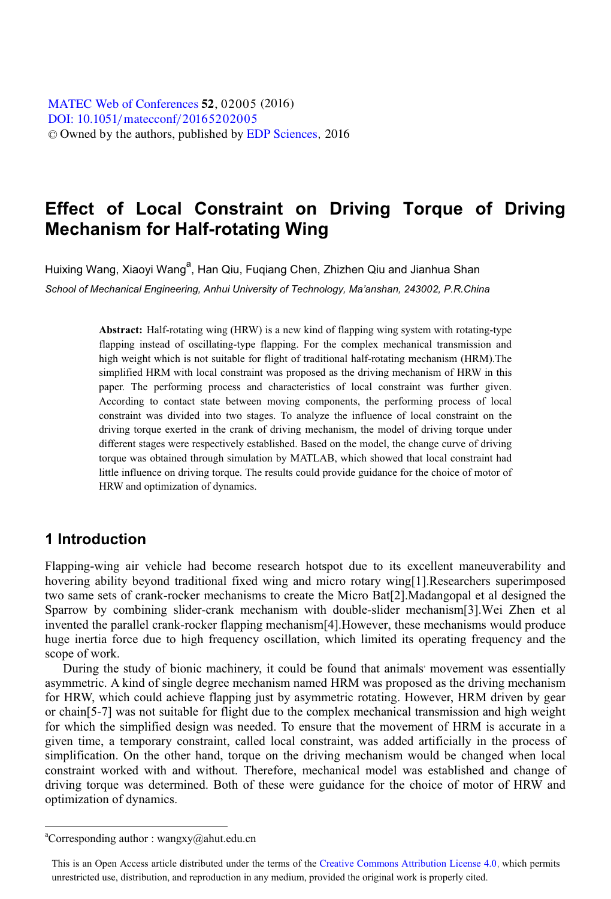[DOI: 10.1051](http://dx.doi.org/10.1051/matecconf/20165202005)/matecconf/20165202005 © Owned by the authors, published by [EDP Sciences](http://www.edpsciences.org), 2016 MATEC [Web of Conferences](http://www.matec-conferences.org) 52, 02005 (2016)

# **Effect of Local Constraint on Driving Torque of Driving Mechanism for Half-rotating Wing**

Huixing Wang, Xiaoyi Wang<sup>a</sup>, Han Qiu, Fuqiang Chen, Zhizhen Qiu and Jianhua Shan *School of Mechanical Engineering, Anhui University of Technology, Ma'anshan, 243002, P.R.China*

> **Abstract:** Half-rotating wing (HRW) is a new kind of flapping wing system with rotating-type flapping instead of oscillating-type flapping. For the complex mechanical transmission and high weight which is not suitable for flight of traditional half-rotating mechanism (HRM).The simplified HRM with local constraint was proposed as the driving mechanism of HRW in this paper. The performing process and characteristics of local constraint was further given. According to contact state between moving components, the performing process of local constraint was divided into two stages. To analyze the influence of local constraint on the driving torque exerted in the crank of driving mechanism, the model of driving torque under different stages were respectively established. Based on the model, the change curve of driving torque was obtained through simulation by MATLAB, which showed that local constraint had little influence on driving torque. The results could provide guidance for the choice of motor of HRW and optimization of dynamics.

### **1 Introduction**

 $\ddot{ }$ 

Flapping-wing air vehicle had become research hotspot due to its excellent maneuverability and hovering ability beyond traditional fixed wing and micro rotary wing[1].Researchers superimposed two same sets of crank-rocker mechanisms to create the Micro Bat[2].Madangopal et al designed the Sparrow by combining slider-crank mechanism with double-slider mechanism[3].Wei Zhen et al invented the parallel crank-rocker flapping mechanism[4].However, these mechanisms would produce huge inertia force due to high frequency oscillation, which limited its operating frequency and the scope of work.

During the study of bionic machinery, it could be found that animals' movement was essentially asymmetric. A kind of single degree mechanism named HRM was proposed as the driving mechanism for HRW, which could achieve flapping just by asymmetric rotating. However, HRM driven by gear or chain[5-7] was not suitable for flight due to the complex mechanical transmission and high weight for which the simplified design was needed. To ensure that the movement of HRM is accurate in a given time, a temporary constraint, called local constraint, was added artificially in the process of simplification. On the other hand, torque on the driving mechanism would be changed when local constraint worked with and without. Therefore, mechanical model was established and change of driving torque was determined. Both of these were guidance for the choice of motor of HRW and optimization of dynamics.

a Corresponding author : wangxy@ahut.edu.cn

This is an Open Access article distributed under the terms of the Creative Commons Attribution License 4.0, which permits unrestricted use, distribution, and reproduction in any medium, provided the original work is properly cited.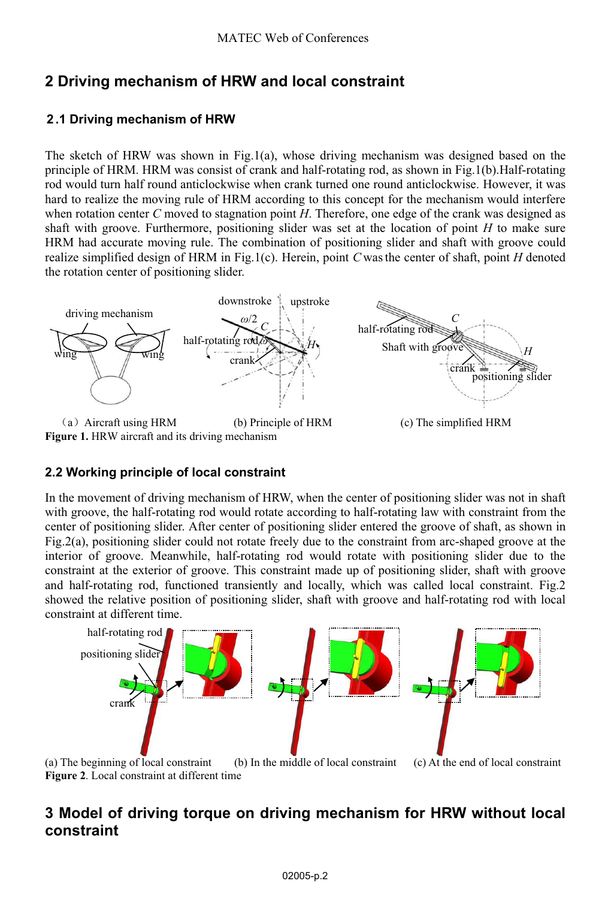# **2 Driving mechanism of HRW and local constraint**

### **2 .1 Driving mechanism of HRW**

The sketch of HRW was shown in Fig.1(a), whose driving mechanism was designed based on the principle of HRM. HRM was consist of crank and half-rotating rod, as shown in Fig.1(b).Half-rotating rod would turn half round anticlockwise when crank turned one round anticlockwise. However, it was hard to realize the moving rule of HRM according to this concept for the mechanism would interfere when rotation center *C* moved to stagnation point *H*. Therefore, one edge of the crank was designed as shaft with groove. Furthermore, positioning slider was set at the location of point *H* to make sure HRM had accurate moving rule. The combination of positioning slider and shaft with groove could realize simplified design of HRM in Fig.1(c). Herein, point *C* was the center of shaft, point *H* denoted the rotation center of positioning slider.



**Figure 1.** HRW aircraft and its driving mechanism

### **2.2 Working principle of local constraint**

In the movement of driving mechanism of HRW, when the center of positioning slider was not in shaft with groove, the half-rotating rod would rotate according to half-rotating law with constraint from the center of positioning slider. After center of positioning slider entered the groove of shaft, as shown in Fig.2(a), positioning slider could not rotate freely due to the constraint from arc-shaped groove at the interior of groove. Meanwhile, half-rotating rod would rotate with positioning slider due to the constraint at the exterior of groove. This constraint made up of positioning slider, shaft with groove and half-rotating rod, functioned transiently and locally, which was called local constraint. Fig.2 showed the relative position of positioning slider, shaft with groove and half-rotating rod with local constraint at different time.



 (a) The beginning of local constraint (b) In the middle of local constraint (c) At the end of local constraint **Figure 2**. Local constraint at different time

## **3 Model of driving torque on driving mechanism for HRW without local constraint**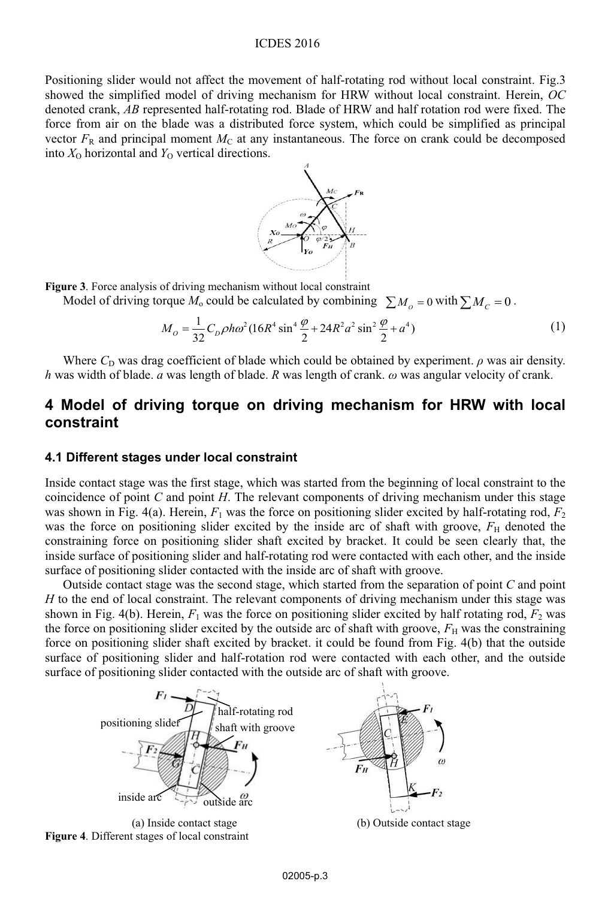#### ICDES 2016

Positioning slider would not affect the movement of half-rotating rod without local constraint. Fig.3 showed the simplified model of driving mechanism for HRW without local constraint. Herein, *OC* denoted crank, *AB* represented half-rotating rod. Blade of HRW and half rotation rod were fixed. The force from air on the blade was a distributed force system, which could be simplified as principal vector  $F_R$  and principal moment  $M_C$  at any instantaneous. The force on crank could be decomposed into  $X_0$  horizontal and  $Y_0$  vertical directions.



**Figure 3**. Force analysis of driving mechanism without local constraint

Model of driving torque  $M_0$  could be calculated by combining  $\sum M_0 = 0$  with  $\sum M_C = 0$ .

$$
M_O = \frac{1}{32} C_D \rho h \omega^2 (16R^4 \sin^4 \frac{\varphi}{2} + 24R^2 a^2 \sin^2 \frac{\varphi}{2} + a^4)
$$
 (1)

Where  $C<sub>D</sub>$  was drag coefficient of blade which could be obtained by experiment.  $\rho$  was air density. *h* was width of blade. *a* was length of blade. *R* was length of crank. *ω* was angular velocity of crank.

## **4 Model of driving torque on driving mechanism for HRW with local constraint**

#### **4.1 Different stages under local constraint**

Inside contact stage was the first stage, which was started from the beginning of local constraint to the coincidence of point *C* and point *H*. The relevant components of driving mechanism under this stage was shown in Fig. 4(a). Herein,  $F_1$  was the force on positioning slider excited by half-rotating rod,  $F_2$ was the force on positioning slider excited by the inside arc of shaft with groove,  $F_H$  denoted the constraining force on positioning slider shaft excited by bracket. It could be seen clearly that, the inside surface of positioning slider and half-rotating rod were contacted with each other, and the inside surface of positioning slider contacted with the inside arc of shaft with groove.

Outside contact stage was the second stage, which started from the separation of point *C* and point *H* to the end of local constraint. The relevant components of driving mechanism under this stage was shown in Fig. 4(b). Herein,  $F_1$  was the force on positioning slider excited by half rotating rod,  $F_2$  was the force on positioning slider excited by the outside arc of shaft with groove,  $F_H$  was the constraining force on positioning slider shaft excited by bracket. it could be found from Fig. 4(b) that the outside surface of positioning slider and half-rotation rod were contacted with each other, and the outside surface of positioning slider contacted with the outside arc of shaft with groove.

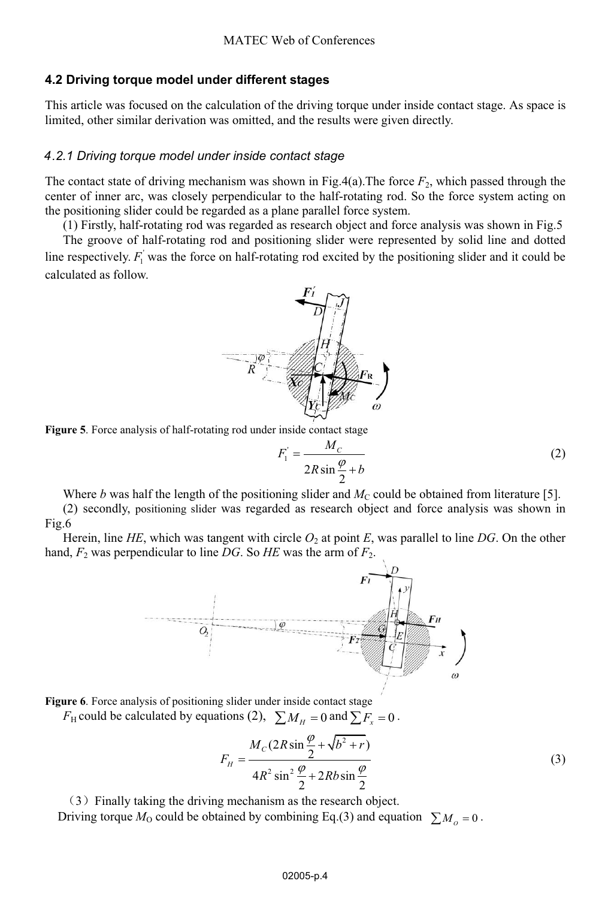#### **.2 Driving torque model under different stages 4**

This article was focused on the calculation of the driving torque under inside contact stage. As space is limited, other similar derivation was omitted, and the results were given directly.

#### *.2.1 Driving torque model under inside contact stage 4*

The contact state of driving mechanism was shown in Fig.4(a). The force  $F_2$ , which passed through the center of inner arc, was closely perpendicular to the half-rotating rod. So the force system acting on the positioning slider could be regarded as a plane parallel force system.

(1) Firstly, half-rotating rod was regarded as research object and force analysis was shown in Fig.5

The groove of half-rotating rod and positioning slider were represented by solid line and dotted line respectively.  $F_1$  was the force on half-rotating rod excited by the positioning slider and it could be calculated as follow.



**Figure 5**. Force analysis of half-rotating rod under inside contact stage

$$
F_1' = \frac{M_C}{2R\sin\frac{\varphi}{2} + b}
$$
 (2)

Where *b* was half the length of the positioning slider and  $M<sub>C</sub>$  could be obtained from literature [5].

(2) secondly, positioning slider was regarded as research object and force analysis was shown in Fig.6

Herein, line *HE*, which was tangent with circle  $O_2$  at point *E*, was parallel to line *DG*. On the other hand,  $F_2$  was perpendicular to line DG. So HE was the arm of  $F_2$ .



**Figure 6**. Force analysis of positioning slider under inside contact stage

 $F_H$  could be calculated by equations (2),  $\sum M_H = 0$  and  $\sum F_x = 0$ .

$$
F_H = \frac{M_C (2R\sin\frac{\varphi}{2} + \sqrt{b^2 + r})}{4R^2 \sin^2 \frac{\varphi}{2} + 2Rb \sin\frac{\varphi}{2}}
$$
(3)

˄3˅Finally taking the driving mechanism as the research object.

Driving torque  $M_0$  could be obtained by combining Eq.(3) and equation  $\sum M_0 = 0$ .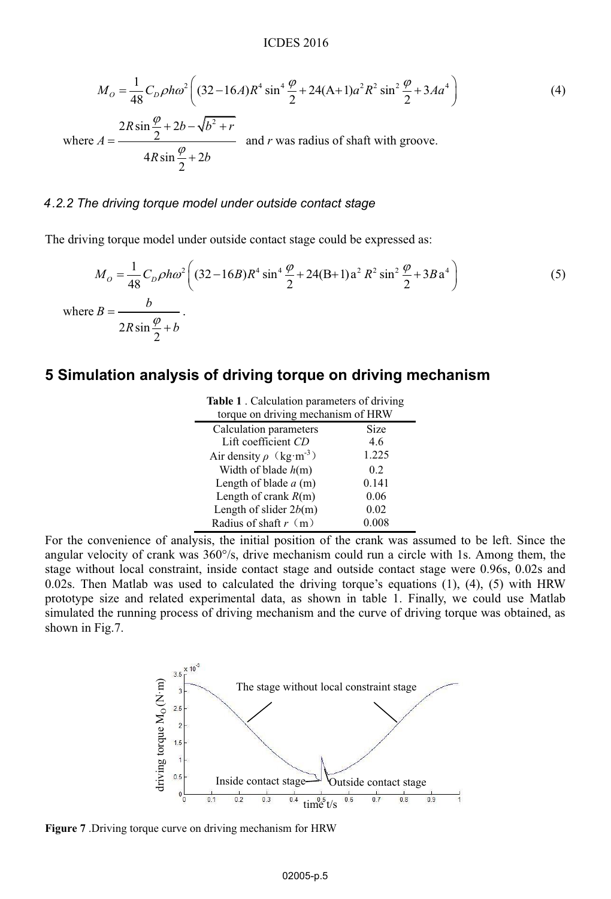$$
M_O = \frac{1}{48} C_D \rho h \omega^2 \left( (32 - 16A)R^4 \sin^4 \frac{\varphi}{2} + 24(A+1)\alpha^2 R^2 \sin^2 \frac{\varphi}{2} + 3Aa^4 \right)
$$
  
\nwhere 
$$
A = \frac{2R \sin \frac{\varphi}{2} + 2b - \sqrt{b^2 + r}}{4R \sin \frac{\varphi}{2} + 2b}
$$
 and *r* was radius of shaft with groove.

#### *.2.2 The driving torque model under outside contact stage 4*

The driving torque model under outside contact stage could be expressed as:

$$
M_O = \frac{1}{48} C_D \rho h \omega^2 \left( (32 - 16B) R^4 \sin^4 \frac{\varphi}{2} + 24(B+1) a^2 R^2 \sin^2 \frac{\varphi}{2} + 3B a^4 \right)
$$
 (5)  
where  $B = \frac{b}{2R \sin \frac{\varphi}{2} + b}$ .

### **5 Simulation analysis of driving torque on driving mechanism**

| <b>Table 1</b> . Calculation parameters of driving<br>torque on driving mechanism of HRW |       |
|------------------------------------------------------------------------------------------|-------|
|                                                                                          |       |
| Calculation parameters                                                                   | Size  |
| Lift coefficient CD                                                                      | 4.6   |
| Air density $\rho$ (kg·m <sup>-3</sup> )                                                 | 1.225 |
| Width of blade $h(m)$                                                                    | 0.2   |
| Length of blade $a$ (m)                                                                  | 0.141 |
| Length of crank $R(m)$                                                                   | 0.06  |
| Length of slider $2b(m)$                                                                 | 0.02  |
| Radius of shaft $r \ (m)$                                                                | 0.008 |

For the convenience of analysis, the initial position of the crank was assumed to be left. Since the angular velocity of crank was  $360^{\circ}/s$ , drive mechanism could run a circle with 1s. Among them, the stage without local constraint, inside contact stage and outside contact stage were 0.96s, 0.02s and 0.02s. Then Matlab was used to calculated the driving torque's equations (1), (4), (5) with HRW prototype size and related experimental data, as shown in table 1. Finally, we could use Matlab simulated the running process of driving mechanism and the curve of driving torque was obtained, as shown in Fig.7.



**Figure 7** .Driving torque curve on driving mechanism for HRW